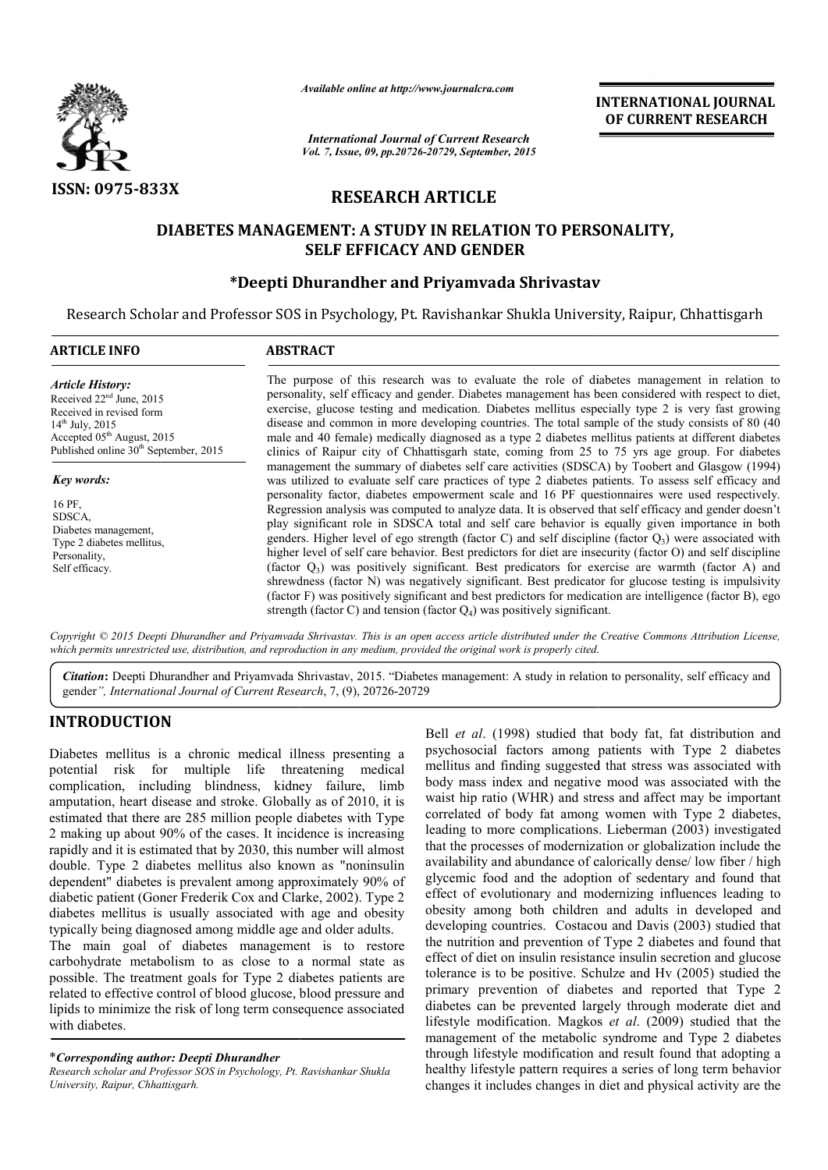

*Available online at http://www.journalcra.com*

*International Journal of Current Research Vol. 7, Issue, 09, pp.20726-20729, September, 2015* INTERNATIONAL INTERNATIONAL JOURNAL OF CURRENT RESEARCH

# RESEARCH ARTICLE

## DIABETES MANAGEMENT: A STUDY IN RELATION TO PERSONALITY, SELF EFFICACY AND GENDER

# \*Deepti Dhurandher and Priyamvada Shrivastav

Research Scholar and Professor SOS in Psychology, Pt. Ravishankar Shukla University, Raipur, Chhattisgarh

| <b>ARTICLE INFO</b>                                                                                                                                                                                                       | <b>ABSTRACT</b>                                                                                                                                                                                                                                                                                                                                                                                                                                                                                                                                                                                                                                                                                                                                                                                                                                                                                                                                                                                                                                                                                                                                              |  |  |  |  |
|---------------------------------------------------------------------------------------------------------------------------------------------------------------------------------------------------------------------------|--------------------------------------------------------------------------------------------------------------------------------------------------------------------------------------------------------------------------------------------------------------------------------------------------------------------------------------------------------------------------------------------------------------------------------------------------------------------------------------------------------------------------------------------------------------------------------------------------------------------------------------------------------------------------------------------------------------------------------------------------------------------------------------------------------------------------------------------------------------------------------------------------------------------------------------------------------------------------------------------------------------------------------------------------------------------------------------------------------------------------------------------------------------|--|--|--|--|
| <b>Article History:</b><br>Received 22 <sup>nd</sup> June, 2015<br>Received in revised form<br>$14^{\text{th}}$ July, 2015<br>Accepted 05 <sup>th</sup> August, 2015<br>Published online 30 <sup>th</sup> September, 2015 | The purpose of this research was to evaluate the role of diabetes management in relation to<br>personality, self efficacy and gender. Diabetes management has been considered with respect to diet,<br>exercise, glucose testing and medication. Diabetes mellitus especially type 2 is very fast growing<br>disease and common in more developing countries. The total sample of the study consists of 80 (40)<br>male and 40 female) medically diagnosed as a type 2 diabetes mellitus patients at different diabetes<br>clinics of Raipur city of Chhattisgarh state, coming from 25 to 75 yrs age group. For diabetes                                                                                                                                                                                                                                                                                                                                                                                                                                                                                                                                    |  |  |  |  |
| Key words:<br>16 PF,<br>SDSCA,<br>Diabetes management,<br>Type 2 diabetes mellitus,<br>Personality,<br>Self efficacy.                                                                                                     | management the summary of diabetes self care activities (SDSCA) by Toobert and Glasgow (1994)<br>was utilized to evaluate self care practices of type 2 diabetes patients. To assess self efficacy and<br>personality factor, diabetes empowerment scale and 16 PF questionnaires were used respectively.<br>Regression analysis was computed to analyze data. It is observed that self efficacy and gender doesn't<br>play significant role in SDSCA total and self care behavior is equally given importance in both<br>genders. Higher level of ego strength (factor C) and self discipline (factor $Q_3$ ) were associated with<br>higher level of self care behavior. Best predictors for diet are insecurity (factor O) and self discipline<br>(factor $Q_3$ ) was positively significant. Best predicators for exercise are warmth (factor A) and<br>shrewdness (factor N) was negatively significant. Best predicator for glucose testing is impulsivity<br>(factor F) was positively significant and best predictors for medication are intelligence (factor B), ego<br>strength (factor C) and tension (factor $Q_4$ ) was positively significant. |  |  |  |  |

Copyright © 2015 Deepti Dhurandher and Priyamvada Shrivastav. This is an open access article distributed under the Creative Commons Attribution License, *which permits unrestricted use, distribution, and reproduction in any medium, provided the original work is properly cited. distribution, any medium,* 

Citation: Deepti Dhurandher and Priyamvada Shrivastav, 2015. "Diabetes management: A study in relation to personality, self efficacy and gender*", International Journal of Current Research* , 7, (9), 20726-20729

### INTRODUCTION

Diabetes mellitus is a chronic medical illness presenting a potential risk for multiple life threatening medical complication, including blindness, kidney failure, limb amputation, heart disease and stroke. Globally as of 2010, it is estimated that there are 285 million people diabetes with Type 2 making up about 90% of the cases. It incidence is increasing rapidly and it is estimated that by 2030, this number will almost double. Type 2 diabetes mellitus also known as "noninsulin dependent" diabetes is prevalent among approximately 90% of diabetic patient (Goner Frederik Cox and Clarke, 2002). Type 2 diabetes mellitus is usually associated with age and obesity typically being diagnosed among middle age and older adults. estimated that there are 285 million people diabetes with Type 2 making up about 90% of the cases. It incidence is increasing rapidly and it is estimated that by 2030, this number will almost double. Type 2 diabetes mellit

carbohydrate metabolism to as close to a normal state as possible. The treatment goals for Type 2 diabetes patients are related to effective control of blood glucose, blood pressure and lipids to minimize the risk of long term consequence associated with diabetes.

\**Corresponding author: Deepti Dhurandher* 

*Research scholar and Professor SOS in Psychology, Pt. Ravishankar Shukla University, Raipur, Chhattisgarh.*

Bell *et al*. (1998) studied that body fat, fat distribution and psychosocial factors among patients with Type 2 diabetes mellitus and finding suggested that stress was associated with body mass index and negative mood was associated with the waist hip ratio (WHR) and stress and affect may be important correlated of body fat among women with Type 2 diabetes, leading to more complications. Lieberman (2003) investigated that the processes of modernization or globalization include the availability and abundance of calorically dense/ low fiber / high glycemic food and the adoption of sedentary and found that effect of evolutionary and modernizing influences leading to obesity among both children and adults in developed and developing countries. Costacou and Davis (2003) studied that obesity among both children and adults in developed and developing countries. Costacou and Davis (2003) studied that the nutrition and prevention of Type 2 diabetes and found that effect of diet on insulin resistance insulin secretion and glucose tolerance is to be positive. Schulze and Hv (2005) studied the primary prevention of diabetes and reported that Type 2 diabetes can be prevented largely through moderate diet and lifestyle modification. Magkos et al. (2009) studied that the management of the metabolic syndrome and Type 2 diabetes through lifestyle modification and result found that adopting a healthy lifestyle pattern requires a series of long term behavior changes it includes changes in diet and physical activity are the Bell *et al.* (1998) studied that body fat, fat distribution and psychosocial factors among patients with Type 2 diabetes mellitus and finding suggested that stress was associated with body mass index and negative mood was that the processes of modernization or globalization include the availability and abundance of calorically dense/ low fiber / high glycemic food and the adoption of sedentary and found that t of diet on insulin resistance insulin secretion and glucose<br>ance is to be positive. Schulze and Hv (2005) studied the<br>ary prevention of diabetes and reported that Type 2<br>tes can be prevented largely through moderate diet **INTERNATIONAL JOURNAL (I) THE CONSULTS (I) THE CONSULTS (I) THE CONSULTS (September, 2015)<br>
2017 September, 2015<br>
2017 September, 2015<br>
<b>ARTICLE**<br> **INTERNATION TO PERSONALITY,**<br> **AND GENDER**<br> **EVALUATION TO PERSONALITY,**<br>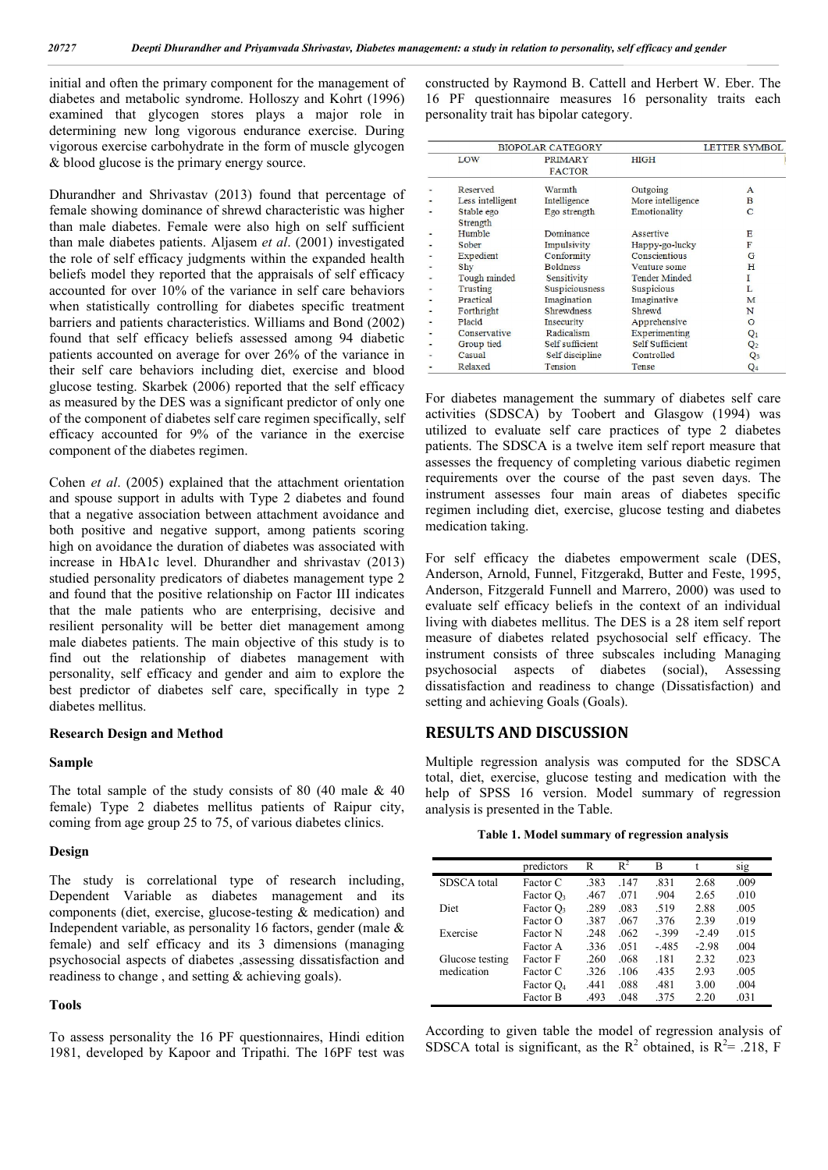initial and often the primary component for the management of diabetes and metabolic syndrome. Holloszy and Kohrt (1996) examined that glycogen stores plays a major role in determining new long vigorous endurance exercise. During vigorous exercise carbohydrate in the form of muscle glycogen & blood glucose is the primary energy source.

Dhurandher and Shrivastav (2013) found that percentage of female showing dominance of shrewd characteristic was higher than male diabetes. Female were also high on self sufficient than male diabetes patients. Aljasem *et al*. (2001) investigated the role of self efficacy judgments within the expanded health beliefs model they reported that the appraisals of self efficacy accounted for over 10% of the variance in self care behaviors when statistically controlling for diabetes specific treatment barriers and patients characteristics. Williams and Bond (2002) found that self efficacy beliefs assessed among 94 diabetic patients accounted on average for over 26% of the variance in their self care behaviors including diet, exercise and blood glucose testing. Skarbek (2006) reported that the self efficacy as measured by the DES was a significant predictor of only one of the component of diabetes self care regimen specifically, self efficacy accounted for 9% of the variance in the exercise component of the diabetes regimen.

Cohen *et al*. (2005) explained that the attachment orientation and spouse support in adults with Type 2 diabetes and found that a negative association between attachment avoidance and both positive and negative support, among patients scoring high on avoidance the duration of diabetes was associated with increase in HbA1c level. Dhurandher and shrivastav (2013) studied personality predicators of diabetes management type 2 and found that the positive relationship on Factor III indicates that the male patients who are enterprising, decisive and resilient personality will be better diet management among male diabetes patients. The main objective of this study is to find out the relationship of diabetes management with personality, self efficacy and gender and aim to explore the best predictor of diabetes self care, specifically in type 2 diabetes mellitus.

#### Research Design and Method

#### Sample

The total sample of the study consists of 80 (40 male  $\&$  40 female) Type 2 diabetes mellitus patients of Raipur city, coming from age group 25 to 75, of various diabetes clinics.

#### Design

The study is correlational type of research including, Dependent Variable as diabetes management and its components (diet, exercise, glucose-testing & medication) and Independent variable, as personality 16 factors, gender (male & female) and self efficacy and its 3 dimensions (managing psychosocial aspects of diabetes ,assessing dissatisfaction and readiness to change , and setting & achieving goals).

#### Tools

To assess personality the 16 PF questionnaires, Hindi edition 1981, developed by Kapoor and Tripathi. The 16PF test was

constructed by Raymond B. Cattell and Herbert W. Eber. The 16 PF questionnaire measures 16 personality traits each personality trait has bipolar category.

|   | BIOPOLAR CATEGORY | <b>LETTER SYMBOL</b>            |                        |                |
|---|-------------------|---------------------------------|------------------------|----------------|
|   | LOW               | <b>PRIMARY</b><br><b>FACTOR</b> | <b>HIGH</b>            |                |
|   | Reserved          | Warmth                          | Outgoing               | $\mathbf{A}$   |
| ٠ | Less intelligent  | Intelligence                    | More intelligence      | B              |
|   | Stable ego        | Ego strength                    | Emotionality           | $\mathsf{C}$   |
|   | Strength          |                                 |                        |                |
|   | Humble            | Dominance                       | Assertive              | F.             |
| ٠ | Sober             | Impulsivity                     | Happy-go-lucky         | F              |
|   | Expedient         | Conformity                      | Conscientious          | G              |
|   | Shy               | <b>Boldness</b>                 | Venture some           | н              |
|   | Tough minded      | Sensitivity                     | <b>Tender Minded</b>   | 1              |
|   | Trusting          | Suspiciousness                  | Suspicious             | L              |
|   | Practical         | Imagination                     | Imaginative            | M              |
| ۰ | Forthright        | <b>Shrewdness</b>               | Shrewd                 | N              |
|   | Placid            | Insecurity                      | Apprehensive           | $\circ$        |
|   | Conservative      | Radicalism                      | <b>Experimenting</b>   | $Q_1$          |
| ٠ | Group tied        | Self sufficient                 | <b>Self Sufficient</b> | Q <sub>2</sub> |
|   | Casual            | Self discipline                 | Controlled             | Q <sub>3</sub> |
|   | Relaxed           | Tension                         | Tense                  | $Q_4$          |

For diabetes management the summary of diabetes self care activities (SDSCA) by Toobert and Glasgow (1994) was utilized to evaluate self care practices of type 2 diabetes patients. The SDSCA is a twelve item self report measure that assesses the frequency of completing various diabetic regimen requirements over the course of the past seven days. The instrument assesses four main areas of diabetes specific regimen including diet, exercise, glucose testing and diabetes medication taking.

For self efficacy the diabetes empowerment scale (DES, Anderson, Arnold, Funnel, Fitzgerakd, Butter and Feste, 1995, Anderson, Fitzgerald Funnell and Marrero, 2000) was used to evaluate self efficacy beliefs in the context of an individual living with diabetes mellitus. The DES is a 28 item self report measure of diabetes related psychosocial self efficacy. The instrument consists of three subscales including Managing psychosocial aspects of diabetes (social), Assessing dissatisfaction and readiness to change (Dissatisfaction) and setting and achieving Goals (Goals).

### RESULTS AND DISCUSSION

Multiple regression analysis was computed for the SDSCA total, diet, exercise, glucose testing and medication with the help of SPSS 16 version. Model summary of regression analysis is presented in the Table.

Table 1. Model summary of regression analysis

|                 | predictors      | R    | $R^2$ | B        |         | sıg  |
|-----------------|-----------------|------|-------|----------|---------|------|
| SDSCA total     | Factor C        | .383 | .147  | .831     | 2.68    | .009 |
|                 | Factor $O_3$    | .467 | .071  | .904     | 2.65    | .010 |
| Diet            | Factor $O_3$    | .289 | .083  | .519     | 2.88    | .005 |
|                 | Factor O        | .387 | .067  | 376      | 2.39    | .019 |
| Exercise        | <b>Factor</b> N | .248 | .062  | $-0.399$ | $-2.49$ | .015 |
|                 | Factor A        | 336  | .051  | $-485$   | $-2.98$ | .004 |
| Glucose testing | Factor F        | .260 | .068  | .181     | 2.32    | .023 |
| medication      | Factor C        | .326 | .106  | .435     | 2.93    | .005 |
|                 | Factor $O_4$    | .441 | .088  | .481     | 3.00    | .004 |
|                 | Factor B        | .493 | .048  | 375      | 2.20    | .031 |

According to given table the model of regression analysis of SDSCA total is significant, as the  $R^2$  obtained, is  $R^2 = .218$ , F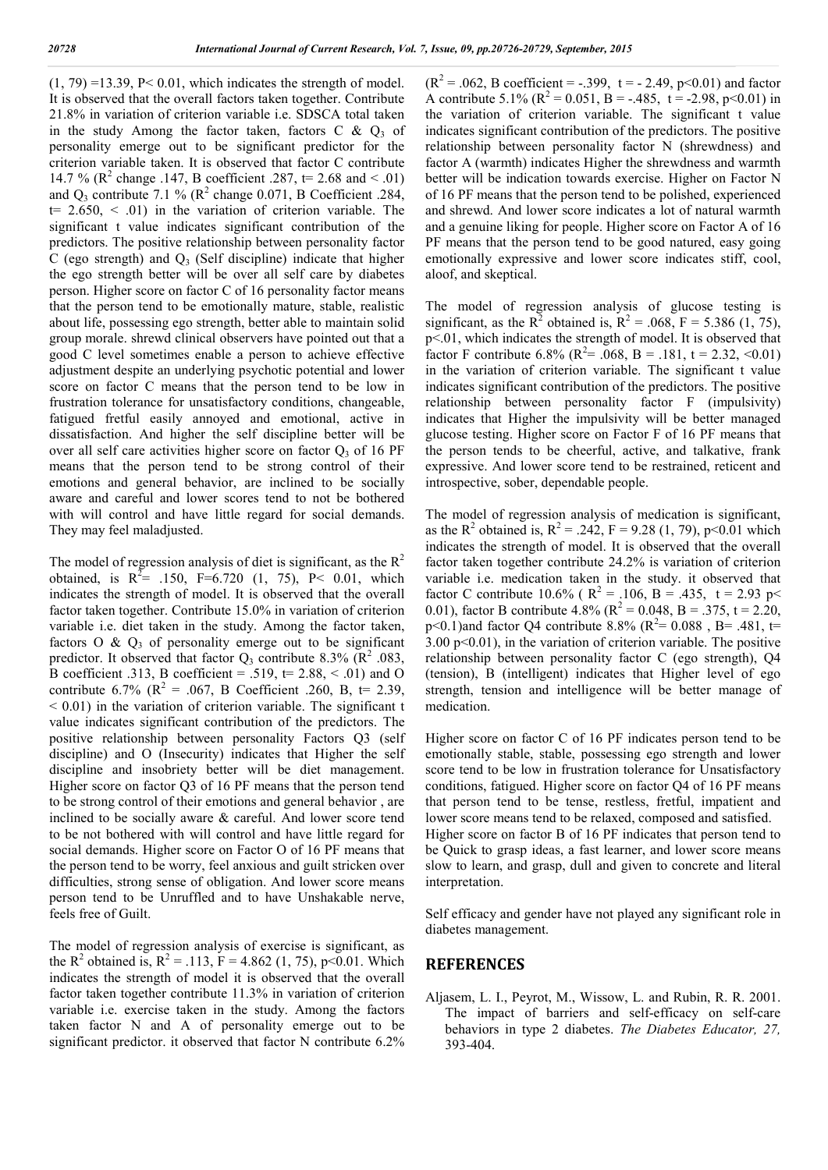$(1, 79) = 13.39$ , P< 0.01, which indicates the strength of model. It is observed that the overall factors taken together. Contribute 21.8% in variation of criterion variable i.e. SDSCA total taken in the study Among the factor taken, factors C  $\&$  Q<sub>3</sub> of personality emerge out to be significant predictor for the criterion variable taken. It is observed that factor C contribute 14.7 % ( $\mathbb{R}^2$  change .147, B coefficient .287, t= 2.68 and < .01) and  $Q_3$  contribute 7.1 % ( $R^2$  change 0.071, B Coefficient .284,  $t= 2.650, \leq 0.01$  in the variation of criterion variable. The significant t value indicates significant contribution of the predictors. The positive relationship between personality factor C (ego strength) and  $Q_3$  (Self discipline) indicate that higher the ego strength better will be over all self care by diabetes person. Higher score on factor C of 16 personality factor means that the person tend to be emotionally mature, stable, realistic about life, possessing ego strength, better able to maintain solid group morale. shrewd clinical observers have pointed out that a good C level sometimes enable a person to achieve effective adjustment despite an underlying psychotic potential and lower score on factor C means that the person tend to be low in frustration tolerance for unsatisfactory conditions, changeable, fatigued fretful easily annoyed and emotional, active in dissatisfaction. And higher the self discipline better will be over all self care activities higher score on factor  $Q_3$  of 16 PF means that the person tend to be strong control of their emotions and general behavior, are inclined to be socially aware and careful and lower scores tend to not be bothered with will control and have little regard for social demands. They may feel maladjusted.

The model of regression analysis of diet is significant, as the  $R^2$ obtained, is  $R^2$ = .150, F=6.720 (1, 75), P< 0.01, which indicates the strength of model. It is observed that the overall factor taken together. Contribute 15.0% in variation of criterion variable i.e. diet taken in the study. Among the factor taken, factors  $\overline{O}$  &  $\overline{Q}$ <sub>3</sub> of personality emerge out to be significant predictor. It observed that factor  $Q_3$  contribute 8.3% ( $R^2$  .083, B coefficient .313, B coefficient = .519,  $t = 2.88$ , < .01) and O contribute 6.7% ( $R^2 = .067$ , B Coefficient .260, B, t= 2.39,  $< 0.01$ ) in the variation of criterion variable. The significant t value indicates significant contribution of the predictors. The positive relationship between personality Factors Q3 (self discipline) and O (Insecurity) indicates that Higher the self discipline and insobriety better will be diet management. Higher score on factor Q3 of 16 PF means that the person tend to be strong control of their emotions and general behavior , are inclined to be socially aware & careful. And lower score tend to be not bothered with will control and have little regard for social demands. Higher score on Factor O of 16 PF means that the person tend to be worry, feel anxious and guilt stricken over difficulties, strong sense of obligation. And lower score means person tend to be Unruffled and to have Unshakable nerve, feels free of Guilt.

The model of regression analysis of exercise is significant, as the R<sup>2</sup> obtained is, R<sup>2</sup> = .113, F = 4.862 (1, 75), p<0.01. Which indicates the strength of model it is observed that the overall factor taken together contribute 11.3% in variation of criterion variable i.e. exercise taken in the study. Among the factors taken factor N and A of personality emerge out to be significant predictor. it observed that factor N contribute 6.2%  $(R^{2} = .062, B$  coefficient = -.399, t = - 2.49, p<0.01) and factor A contribute 5.1% ( $R^2 = 0.051$ ,  $B = -.485$ ,  $t = -2.98$ ,  $p < 0.01$ ) in the variation of criterion variable. The significant t value indicates significant contribution of the predictors. The positive relationship between personality factor N (shrewdness) and factor A (warmth) indicates Higher the shrewdness and warmth better will be indication towards exercise. Higher on Factor N of 16 PF means that the person tend to be polished, experienced and shrewd. And lower score indicates a lot of natural warmth and a genuine liking for people. Higher score on Factor A of 16 PF means that the person tend to be good natured, easy going emotionally expressive and lower score indicates stiff, cool, aloof, and skeptical.

The model of regression analysis of glucose testing is significant, as the R<sup>2</sup> obtained is, R<sup>2</sup> = .068, F = 5.386 (1, 75), p<.01, which indicates the strength of model. It is observed that factor F contribute 6.8% ( $R^2$  = .068, B = .181, t = 2.32, <0.01) in the variation of criterion variable. The significant t value indicates significant contribution of the predictors. The positive relationship between personality factor F (impulsivity) indicates that Higher the impulsivity will be better managed glucose testing. Higher score on Factor F of 16 PF means that the person tends to be cheerful, active, and talkative, frank expressive. And lower score tend to be restrained, reticent and introspective, sober, dependable people.

The model of regression analysis of medication is significant, as the R<sup>2</sup> obtained is, R<sup>2</sup> = .242, F = 9.28 (1, 79), p<0.01 which indicates the strength of model. It is observed that the overall factor taken together contribute 24.2% is variation of criterion variable i.e. medication taken in the study. it observed that factor C contribute 10.6% ( $R^2 = .106$ ,  $B = .435$ ,  $t = 2.93$  p< 0.01), factor B contribute 4.8% ( $R^2 = 0.048$ , B = .375, t = 2.20,  $p<0.1$ )and factor Q4 contribute 8.8% ( $R^2$ = 0.088, B= .481, t= 3.00 p<0.01), in the variation of criterion variable. The positive relationship between personality factor C (ego strength), Q4 (tension), B (intelligent) indicates that Higher level of ego strength, tension and intelligence will be better manage of medication.

Higher score on factor C of 16 PF indicates person tend to be emotionally stable, stable, possessing ego strength and lower score tend to be low in frustration tolerance for Unsatisfactory conditions, fatigued. Higher score on factor Q4 of 16 PF means that person tend to be tense, restless, fretful, impatient and lower score means tend to be relaxed, composed and satisfied. Higher score on factor B of 16 PF indicates that person tend to be Quick to grasp ideas, a fast learner, and lower score means slow to learn, and grasp, dull and given to concrete and literal interpretation.

Self efficacy and gender have not played any significant role in diabetes management.

### REFERENCES

Aljasem, L. I., Peyrot, M., Wissow, L. and Rubin, R. R. 2001. The impact of barriers and self-efficacy on self-care behaviors in type 2 diabetes. *The Diabetes Educator, 27,*  393-404.